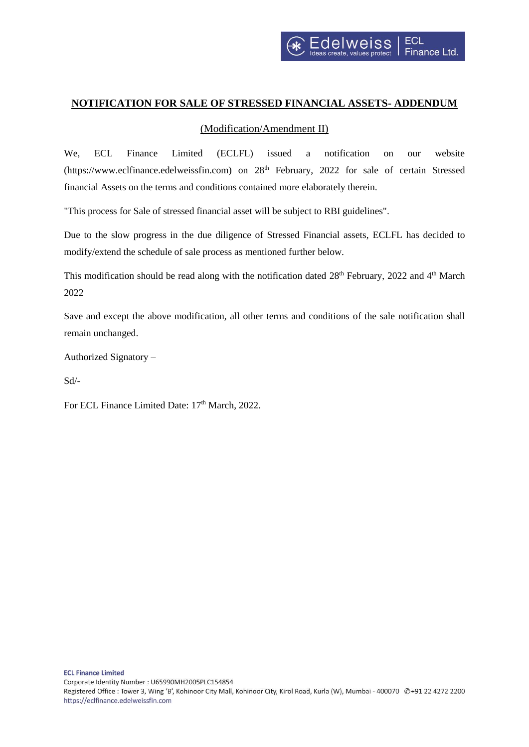

## **NOTIFICATION FOR SALE OF STRESSED FINANCIAL ASSETS- ADDENDUM**

## (Modification/Amendment II)

We, ECL Finance Limited (ECLFL) issued a notification on our website (https://www.eclfinance.edelweissfin.com) on 28<sup>th</sup> February, 2022 for sale of certain Stressed financial Assets on the terms and conditions contained more elaborately therein.

"This process for Sale of stressed financial asset will be subject to RBI guidelines".

Due to the slow progress in the due diligence of Stressed Financial assets, ECLFL has decided to modify/extend the schedule of sale process as mentioned further below.

This modification should be read along with the notification dated  $28<sup>th</sup>$  February, 2022 and  $4<sup>th</sup>$  March 2022

Save and except the above modification, all other terms and conditions of the sale notification shall remain unchanged.

Authorized Signatory –

Sd/-

For ECL Finance Limited Date:  $17<sup>th</sup> March$ , 2022.